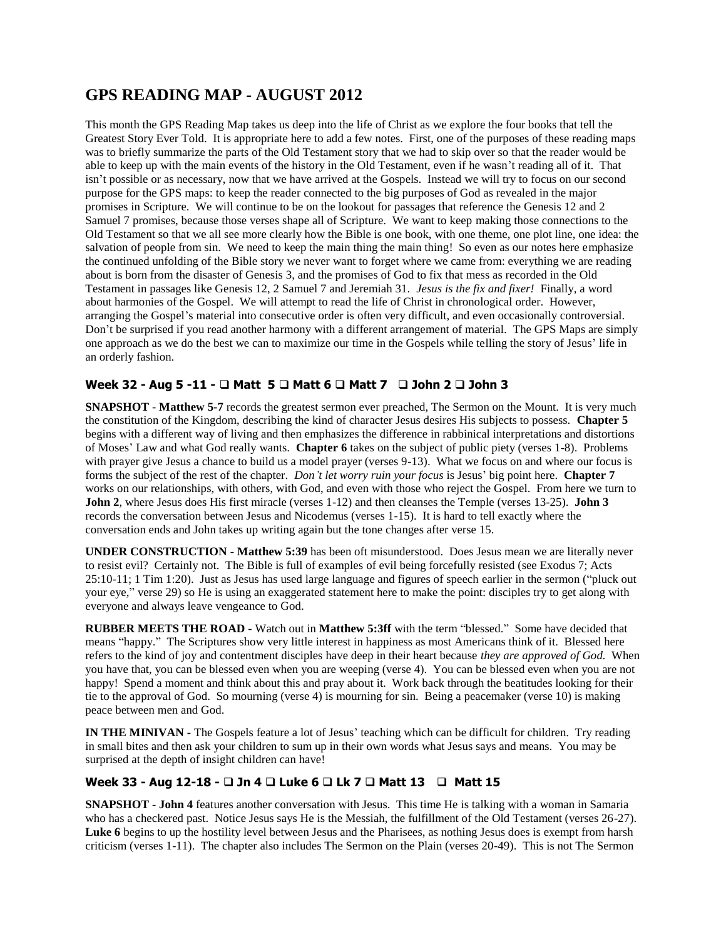# **GPS READING MAP - AUGUST 2012**

This month the GPS Reading Map takes us deep into the life of Christ as we explore the four books that tell the Greatest Story Ever Told. It is appropriate here to add a few notes. First, one of the purposes of these reading maps was to briefly summarize the parts of the Old Testament story that we had to skip over so that the reader would be able to keep up with the main events of the history in the Old Testament, even if he wasn't reading all of it. That isn't possible or as necessary, now that we have arrived at the Gospels. Instead we will try to focus on our second purpose for the GPS maps: to keep the reader connected to the big purposes of God as revealed in the major promises in Scripture. We will continue to be on the lookout for passages that reference the Genesis 12 and 2 Samuel 7 promises, because those verses shape all of Scripture. We want to keep making those connections to the Old Testament so that we all see more clearly how the Bible is one book, with one theme, one plot line, one idea: the salvation of people from sin. We need to keep the main thing the main thing! So even as our notes here emphasize the continued unfolding of the Bible story we never want to forget where we came from: everything we are reading about is born from the disaster of Genesis 3, and the promises of God to fix that mess as recorded in the Old Testament in passages like Genesis 12, 2 Samuel 7 and Jeremiah 31. *Jesus is the fix and fixer!* Finally, a word about harmonies of the Gospel. We will attempt to read the life of Christ in chronological order. However, arranging the Gospel's material into consecutive order is often very difficult, and even occasionally controversial. Don't be surprised if you read another harmony with a different arrangement of material. The GPS Maps are simply one approach as we do the best we can to maximize our time in the Gospels while telling the story of Jesus' life in an orderly fashion.

## **Week 32 - Aug 5 -11 - Matt 5 Matt 6 Matt 7 John 2 John 3**

**SNAPSHOT** - **Matthew 5-7** records the greatest sermon ever preached, The Sermon on the Mount. It is very much the constitution of the Kingdom, describing the kind of character Jesus desires His subjects to possess. **Chapter 5**  begins with a different way of living and then emphasizes the difference in rabbinical interpretations and distortions of Moses' Law and what God really wants. **Chapter 6** takes on the subject of public piety (verses 1-8). Problems with prayer give Jesus a chance to build us a model prayer (verses 9-13). What we focus on and where our focus is forms the subject of the rest of the chapter. *Don't let worry ruin your focus* is Jesus' big point here. **Chapter 7** works on our relationships, with others, with God, and even with those who reject the Gospel. From here we turn to **John 2**, where Jesus does His first miracle (verses 1-12) and then cleanses the Temple (verses 13-25). **John 3** records the conversation between Jesus and Nicodemus (verses 1-15). It is hard to tell exactly where the conversation ends and John takes up writing again but the tone changes after verse 15.

**UNDER CONSTRUCTION** - **Matthew 5:39** has been oft misunderstood. Does Jesus mean we are literally never to resist evil? Certainly not. The Bible is full of examples of evil being forcefully resisted (see Exodus 7; Acts 25:10-11; 1 Tim 1:20). Just as Jesus has used large language and figures of speech earlier in the sermon ("pluck out your eye," verse 29) so He is using an exaggerated statement here to make the point: disciples try to get along with everyone and always leave vengeance to God.

**RUBBER MEETS THE ROAD -** Watch out in **Matthew 5:3ff** with the term "blessed." Some have decided that means "happy." The Scriptures show very little interest in happiness as most Americans think of it. Blessed here refers to the kind of joy and contentment disciples have deep in their heart because *they are approved of God.* When you have that, you can be blessed even when you are weeping (verse 4). You can be blessed even when you are not happy! Spend a moment and think about this and pray about it. Work back through the beatitudes looking for their tie to the approval of God. So mourning (verse 4) is mourning for sin. Being a peacemaker (verse 10) is making peace between men and God.

**IN THE MINIVAN -** The Gospels feature a lot of Jesus' teaching which can be difficult for children. Try reading in small bites and then ask your children to sum up in their own words what Jesus says and means. You may be surprised at the depth of insight children can have!

## **Week 33 - Aug 12-18 - □ Jn 4 □ Luke 6 □ Lk 7 □ Matt 13 □ Matt 15**

**SNAPSHOT** - **John 4** features another conversation with Jesus. This time He is talking with a woman in Samaria who has a checkered past. Notice Jesus says He is the Messiah, the fulfillment of the Old Testament (verses 26-27). **Luke 6** begins to up the hostility level between Jesus and the Pharisees, as nothing Jesus does is exempt from harsh criticism (verses 1-11). The chapter also includes The Sermon on the Plain (verses 20-49). This is not The Sermon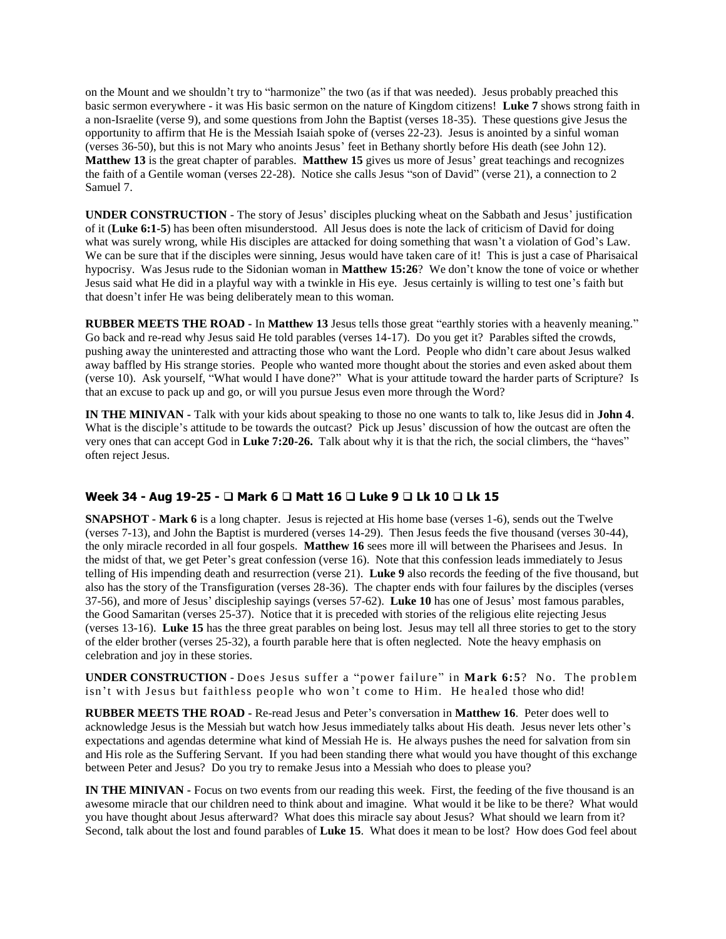on the Mount and we shouldn't try to "harmonize" the two (as if that was needed). Jesus probably preached this basic sermon everywhere - it was His basic sermon on the nature of Kingdom citizens! **Luke 7** shows strong faith in a non-Israelite (verse 9), and some questions from John the Baptist (verses 18-35). These questions give Jesus the opportunity to affirm that He is the Messiah Isaiah spoke of (verses 22-23). Jesus is anointed by a sinful woman (verses 36-50), but this is not Mary who anoints Jesus' feet in Bethany shortly before His death (see John 12). **Matthew 13** is the great chapter of parables. **Matthew 15** gives us more of Jesus' great teachings and recognizes the faith of a Gentile woman (verses 22-28). Notice she calls Jesus "son of David" (verse 21), a connection to 2 Samuel 7.

**UNDER CONSTRUCTION** - The story of Jesus' disciples plucking wheat on the Sabbath and Jesus' justification of it (**Luke 6:1-5**) has been often misunderstood. All Jesus does is note the lack of criticism of David for doing what was surely wrong, while His disciples are attacked for doing something that wasn't a violation of God's Law. We can be sure that if the disciples were sinning, Jesus would have taken care of it! This is just a case of Pharisaical hypocrisy. Was Jesus rude to the Sidonian woman in **Matthew 15:26**? We don't know the tone of voice or whether Jesus said what He did in a playful way with a twinkle in His eye. Jesus certainly is willing to test one's faith but that doesn't infer He was being deliberately mean to this woman.

**RUBBER MEETS THE ROAD -** In **Matthew 13** Jesus tells those great "earthly stories with a heavenly meaning." Go back and re-read why Jesus said He told parables (verses 14-17). Do you get it? Parables sifted the crowds, pushing away the uninterested and attracting those who want the Lord. People who didn't care about Jesus walked away baffled by His strange stories. People who wanted more thought about the stories and even asked about them (verse 10). Ask yourself, "What would I have done?" What is your attitude toward the harder parts of Scripture? Is that an excuse to pack up and go, or will you pursue Jesus even more through the Word?

**IN THE MINIVAN -** Talk with your kids about speaking to those no one wants to talk to, like Jesus did in **John 4**. What is the disciple's attitude to be towards the outcast? Pick up Jesus' discussion of how the outcast are often the very ones that can accept God in **Luke 7:20-26.** Talk about why it is that the rich, the social climbers, the "haves" often reject Jesus.

#### **Week 34 - Aug 19-25 - Mark 6 Matt 16 Luke 9 Lk 10 Lk 15**

**SNAPSHOT - Mark 6** is a long chapter. Jesus is rejected at His home base (verses 1-6), sends out the Twelve (verses 7-13), and John the Baptist is murdered (verses 14-29). Then Jesus feeds the five thousand (verses 30-44), the only miracle recorded in all four gospels. **Matthew 16** sees more ill will between the Pharisees and Jesus. In the midst of that, we get Peter's great confession (verse 16). Note that this confession leads immediately to Jesus telling of His impending death and resurrection (verse 21). **Luke 9** also records the feeding of the five thousand, but also has the story of the Transfiguration (verses 28-36). The chapter ends with four failures by the disciples (verses 37-56), and more of Jesus' discipleship sayings (verses 57-62). **Luke 10** has one of Jesus' most famous parables, the Good Samaritan (verses 25-37). Notice that it is preceded with stories of the religious elite rejecting Jesus (verses 13-16). **Luke 15** has the three great parables on being lost. Jesus may tell all three stories to get to the story of the elder brother (verses 25-32), a fourth parable here that is often neglected. Note the heavy emphasis on celebration and joy in these stories.

**UNDER CONSTRUCTION** - Does Jesus suffer a "power failure" in Mark 6:5? No. The problem isn't with Jesus but faithless people who won't come to Him. He healed those who did!

**RUBBER MEETS THE ROAD -** Re-read Jesus and Peter's conversation in **Matthew 16**. Peter does well to acknowledge Jesus is the Messiah but watch how Jesus immediately talks about His death. Jesus never lets other's expectations and agendas determine what kind of Messiah He is. He always pushes the need for salvation from sin and His role as the Suffering Servant. If you had been standing there what would you have thought of this exchange between Peter and Jesus? Do you try to remake Jesus into a Messiah who does to please you?

**IN THE MINIVAN -** Focus on two events from our reading this week. First, the feeding of the five thousand is an awesome miracle that our children need to think about and imagine. What would it be like to be there? What would you have thought about Jesus afterward? What does this miracle say about Jesus? What should we learn from it? Second, talk about the lost and found parables of **Luke 15**. What does it mean to be lost? How does God feel about